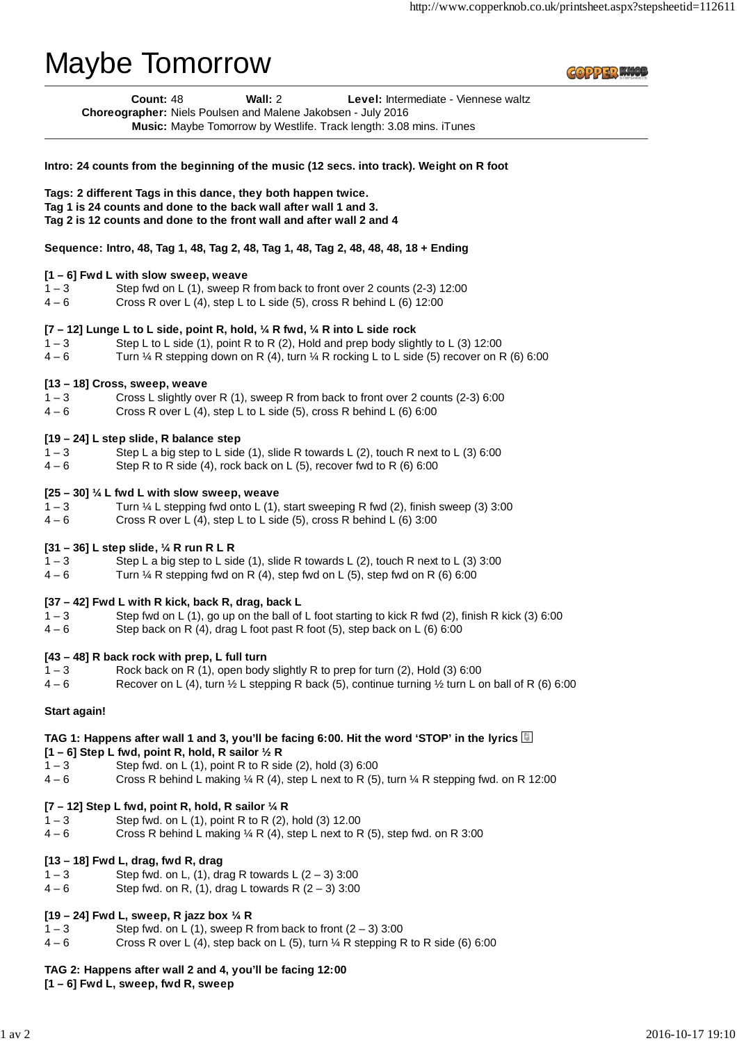# Maybe Tomorrow

**COPPER KNO** 

**Count:** 48 **Wall:** 2 **Level:** Intermediate - Viennese waltz **Choreographer:** Niels Poulsen and Malene Jakobsen - July 2016 **Music:** Maybe Tomorrow by Westlife. Track length: 3.08 mins. iTunes

# 1 – 3 Step fwd on L (1), sweep R from back to front over 2 counts (2-3) 12:00 4 – 6 Cross R over L (4), step L to L side (5), cross R behind L (6) 12:00 1 – 3 Step L to L side (1), point R to R (2), Hold and prep body slightly to L (3) 12:00  $4-6$  Turn ¼ R stepping down on R (4), turn ¼ R rocking L to L side (5) recover on R (6) 6:00 1 – 3 Cross L slightly over R (1), sweep R from back to front over 2 counts (2-3) 6:00  $4-6$  Cross R over L (4), step L to L side (5), cross R behind L (6) 6:00 1 – 3 Step L a big step to L side (1), slide R towards L (2), touch R next to L (3) 6:00  $4-6$  Step R to R side (4), rock back on L (5), recover fwd to R (6) 6:00 1 – 3 Turn ¼ L stepping fwd onto L (1), start sweeping R fwd (2), finish sweep (3) 3:00  $4-6$  Cross R over L (4), step L to L side (5), cross R behind L (6) 3:00 1 – 3 Step L a big step to L side (1), slide R towards L (2), touch R next to L (3) 3:00<br>4 – 6 Turn ¼ R stepping fwd on R (4), step fwd on L (5), step fwd on R (6) 6:00 Turn  $\frac{1}{4}$  R stepping fwd on R (4), step fwd on L (5), step fwd on R (6) 6:00 1 – 3 Step fwd on L (1), go up on the ball of L foot starting to kick R fwd (2), finish R kick (3) 6:00 4 – 6 Step back on R (4), drag L foot past R foot (5), step back on L (6) 6:00 1 – 3 Rock back on R (1), open body slightly R to prep for turn (2), Hold (3) 6:00  $4-6$  Recover on L (4), turn  $\frac{1}{2}$  L stepping R back (5), continue turning  $\frac{1}{2}$  turn L on ball of R (6) 6:00 **Intro: 24 counts from the beginning of the music (12 secs. into track). Weight on R foot Tags: 2 different Tags in this dance, they both happen twice. Tag 1 is 24 counts and done to the back wall after wall 1 and 3. Tag 2 is 12 counts and done to the front wall and after wall 2 and 4 Sequence: Intro, 48, Tag 1, 48, Tag 2, 48, Tag 1, 48, Tag 2, 48, 48, 48, 18 + Ending [1 – 6] Fwd L with slow sweep, weave [7 – 12] Lunge L to L side, point R, hold, ¼ R fwd, ¼ R into L side rock [13 – 18] Cross, sweep, weave [19 – 24] L step slide, R balance step [25 – 30] ¼ L fwd L with slow sweep, weave [31 – 36] L step slide, ¼ R run R L R [37 – 42] Fwd L with R kick, back R, drag, back L [43 – 48] R back rock with prep, L full turn Start again!**

## **TAG 1: Happens after wall 1 and 3, you'll be facing 6:00. Hit the word 'STOP' in the lyrics**

### **[1 – 6] Step L fwd, point R, hold, R sailor ½ R**

- $1-3$  Step fwd. on L (1), point R to R side (2), hold (3) 6:00
- $4-6$  Cross R behind L making  $\frac{1}{4}$  R (4), step L next to R (5), turn  $\frac{1}{4}$  R stepping fwd. on R 12:00

#### **[7 – 12] Step L fwd, point R, hold, R sailor ¼ R**

- $1 3$  Step fwd. on L (1), point R to R (2), hold (3) 12.00
- $4-6$  Cross R behind L making  $\frac{1}{4}$  R (4), step L next to R (5), step fwd. on R 3:00

#### **[13 – 18] Fwd L, drag, fwd R, drag**

- $1-3$  Step fwd. on L, (1), drag R towards L  $(2-3)$  3:00
- $4 6$  Step fwd. on R, (1), drag L towards R  $(2 3)$  3:00

#### **[19 – 24] Fwd L, sweep, R jazz box ¼ R**

- $1-3$  Step fwd. on L (1), sweep R from back to front  $(2-3)$  3:00
- $4-6$  Cross R over L (4), step back on L (5), turn  $\frac{1}{4}$  R stepping R to R side (6) 6:00

#### **TAG 2: Happens after wall 2 and 4, you'll be facing 12:00 [1 – 6] Fwd L, sweep, fwd R, sweep**